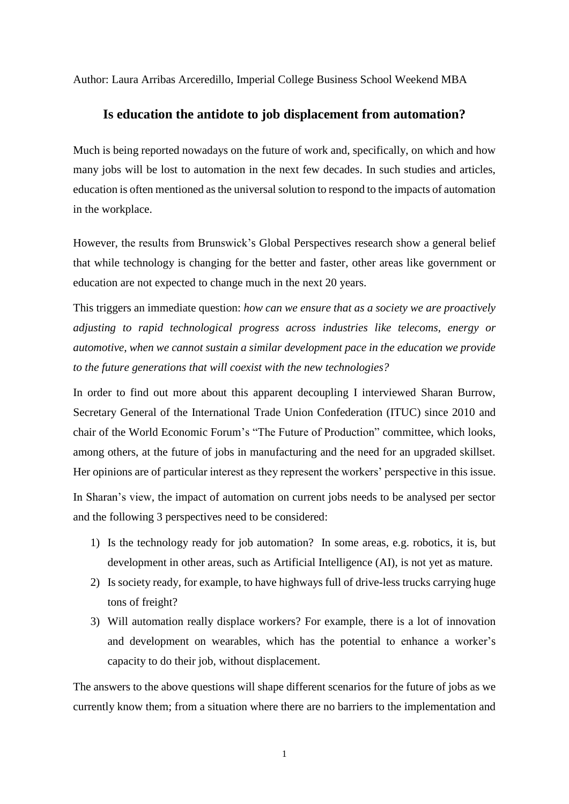Author: Laura Arribas Arceredillo, Imperial College Business School Weekend MBA

## **Is education the antidote to job displacement from automation?**

Much is being reported nowadays on the future of work and, specifically, on which and how many jobs will be lost to automation in the next few decades. In such studies and articles, education is often mentioned as the universal solution to respond to the impacts of automation in the workplace.

However, the results from Brunswick's Global Perspectives research show a general belief that while technology is changing for the better and faster, other areas like government or education are not expected to change much in the next 20 years.

This triggers an immediate question: *how can we ensure that as a society we are proactively adjusting to rapid technological progress across industries like telecoms, energy or automotive, when we cannot sustain a similar development pace in the education we provide to the future generations that will coexist with the new technologies?*

In order to find out more about this apparent decoupling I interviewed Sharan Burrow, Secretary General of the International Trade Union Confederation (ITUC) since 2010 and chair of the World Economic Forum's "The Future of Production" committee, which looks, among others, at the future of jobs in manufacturing and the need for an upgraded skillset. Her opinions are of particular interest as they represent the workers' perspective in this issue.

In Sharan's view, the impact of automation on current jobs needs to be analysed per sector and the following 3 perspectives need to be considered:

- 1) Is the technology ready for job automation? In some areas, e.g. robotics, it is, but development in other areas, such as Artificial Intelligence (AI), is not yet as mature.
- 2) Is society ready, for example, to have highways full of drive-less trucks carrying huge tons of freight?
- 3) Will automation really displace workers? For example, there is a lot of innovation and development on wearables, which has the potential to enhance a worker's capacity to do their job, without displacement.

The answers to the above questions will shape different scenarios for the future of jobs as we currently know them; from a situation where there are no barriers to the implementation and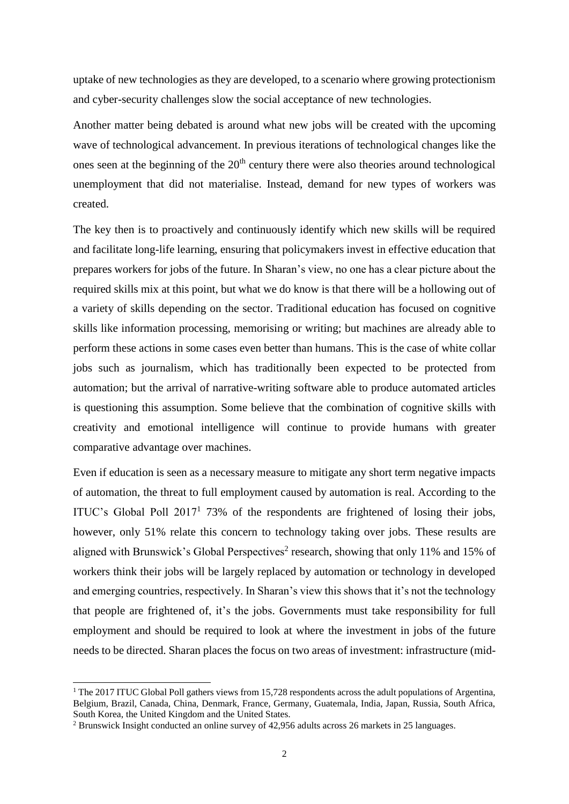uptake of new technologies as they are developed, to a scenario where growing protectionism and cyber-security challenges slow the social acceptance of new technologies.

Another matter being debated is around what new jobs will be created with the upcoming wave of technological advancement. In previous iterations of technological changes like the ones seen at the beginning of the  $20<sup>th</sup>$  century there were also theories around technological unemployment that did not materialise. Instead, demand for new types of workers was created.

The key then is to proactively and continuously identify which new skills will be required and facilitate long-life learning, ensuring that policymakers invest in effective education that prepares workers for jobs of the future. In Sharan's view, no one has a clear picture about the required skills mix at this point, but what we do know is that there will be a hollowing out of a variety of skills depending on the sector. Traditional education has focused on cognitive skills like information processing, memorising or writing; but machines are already able to perform these actions in some cases even better than humans. This is the case of white collar jobs such as journalism, which has traditionally been expected to be protected from automation; but the arrival of narrative-writing software able to produce automated articles is questioning this assumption. Some believe that the combination of cognitive skills with creativity and emotional intelligence will continue to provide humans with greater comparative advantage over machines.

Even if education is seen as a necessary measure to mitigate any short term negative impacts of automation, the threat to full employment caused by automation is real. According to the ITUC's Global Poll 2017<sup>1</sup> 73% of the respondents are frightened of losing their jobs, however, only 51% relate this concern to technology taking over jobs. These results are aligned with Brunswick's Global Perspectives<sup>2</sup> research, showing that only 11% and 15% of workers think their jobs will be largely replaced by automation or technology in developed and emerging countries, respectively. In Sharan's view this shows that it's not the technology that people are frightened of, it's the jobs. Governments must take responsibility for full employment and should be required to look at where the investment in jobs of the future needs to be directed. Sharan places the focus on two areas of investment: infrastructure (mid-

l

<sup>&</sup>lt;sup>1</sup> The 2017 ITUC Global Poll gathers views from 15,728 respondents across the adult populations of Argentina, Belgium, Brazil, Canada, China, Denmark, France, Germany, Guatemala, India, Japan, Russia, South Africa, South Korea, the United Kingdom and the United States.

<sup>2</sup> Brunswick Insight conducted an online survey of 42,956 adults across 26 markets in 25 languages.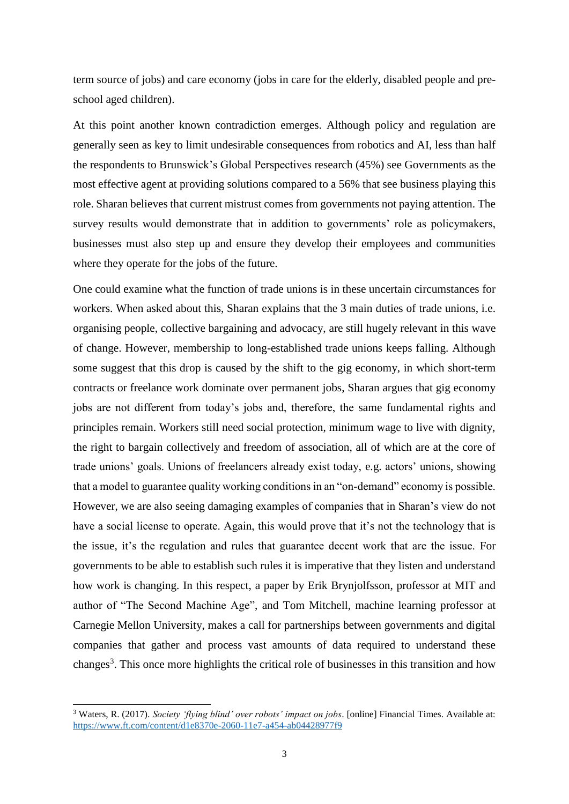term source of jobs) and care economy (jobs in care for the elderly, disabled people and preschool aged children).

At this point another known contradiction emerges. Although policy and regulation are generally seen as key to limit undesirable consequences from robotics and AI, less than half the respondents to Brunswick's Global Perspectives research (45%) see Governments as the most effective agent at providing solutions compared to a 56% that see business playing this role. Sharan believes that current mistrust comes from governments not paying attention. The survey results would demonstrate that in addition to governments' role as policymakers, businesses must also step up and ensure they develop their employees and communities where they operate for the jobs of the future.

One could examine what the function of trade unions is in these uncertain circumstances for workers. When asked about this, Sharan explains that the 3 main duties of trade unions, i.e. organising people, collective bargaining and advocacy, are still hugely relevant in this wave of change. However, membership to long-established trade unions keeps falling. Although some suggest that this drop is caused by the shift to the gig economy, in which short-term contracts or freelance work dominate over permanent jobs, Sharan argues that gig economy jobs are not different from today's jobs and, therefore, the same fundamental rights and principles remain. Workers still need social protection, minimum wage to live with dignity, the right to bargain collectively and freedom of association, all of which are at the core of trade unions' goals. Unions of freelancers already exist today, e.g. actors' unions, showing that a model to guarantee quality working conditions in an "on-demand" economy is possible. However, we are also seeing damaging examples of companies that in Sharan's view do not have a social license to operate. Again, this would prove that it's not the technology that is the issue, it's the regulation and rules that guarantee decent work that are the issue. For governments to be able to establish such rules it is imperative that they listen and understand how work is changing. In this respect, a paper by Erik Brynjolfsson, professor at MIT and author of "The Second Machine Age", and Tom Mitchell, machine learning professor at Carnegie Mellon University, makes a call for partnerships between governments and digital companies that gather and process vast amounts of data required to understand these changes<sup>3</sup>. This once more highlights the critical role of businesses in this transition and how

 $\overline{a}$ 

<sup>3</sup> Waters, R. (2017). *Society 'flying blind' over robots' impact on jobs*. [online] Financial Times. Available at: <https://www.ft.com/content/d1e8370e-2060-11e7-a454-ab04428977f9>